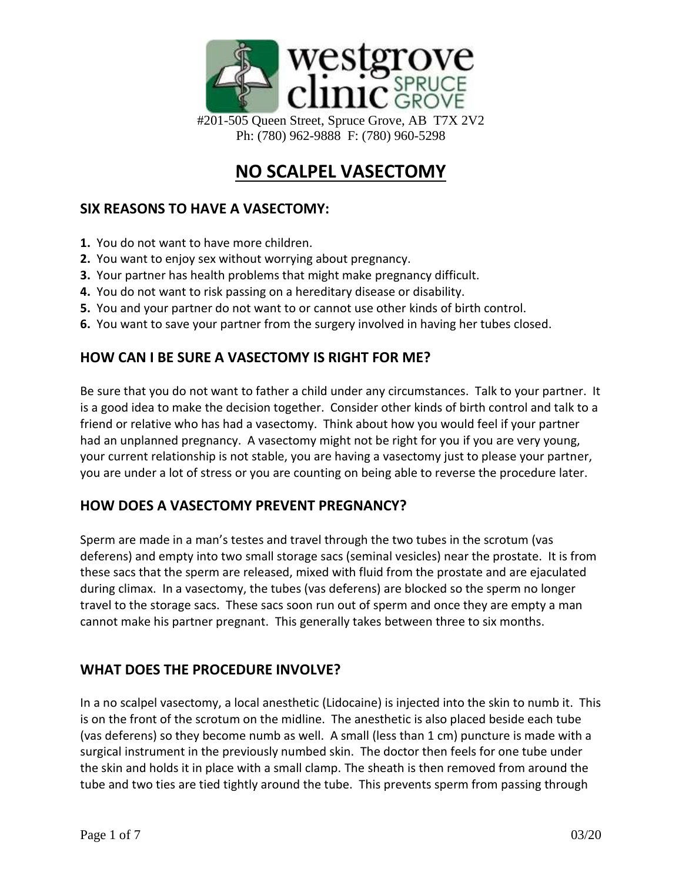

Ph: (780) 962-9888 F: (780) 960-5298

# **NO SCALPEL VASECTOMY**

### **SIX REASONS TO HAVE A VASECTOMY:**

- **1.** You do not want to have more children.
- **2.** You want to enjoy sex without worrying about pregnancy.
- **3.** Your partner has health problems that might make pregnancy difficult.
- **4.** You do not want to risk passing on a hereditary disease or disability.
- **5.** You and your partner do not want to or cannot use other kinds of birth control.
- **6.** You want to save your partner from the surgery involved in having her tubes closed.

#### **HOW CAN I BE SURE A VASECTOMY IS RIGHT FOR ME?**

Be sure that you do not want to father a child under any circumstances. Talk to your partner. It is a good idea to make the decision together. Consider other kinds of birth control and talk to a friend or relative who has had a vasectomy. Think about how you would feel if your partner had an unplanned pregnancy. A vasectomy might not be right for you if you are very young, your current relationship is not stable, you are having a vasectomy just to please your partner, you are under a lot of stress or you are counting on being able to reverse the procedure later.

#### **HOW DOES A VASECTOMY PREVENT PREGNANCY?**

Sperm are made in a man's testes and travel through the two tubes in the scrotum (vas deferens) and empty into two small storage sacs (seminal vesicles) near the prostate. It is from these sacs that the sperm are released, mixed with fluid from the prostate and are ejaculated during climax. In a vasectomy, the tubes (vas deferens) are blocked so the sperm no longer travel to the storage sacs. These sacs soon run out of sperm and once they are empty a man cannot make his partner pregnant. This generally takes between three to six months.

#### **WHAT DOES THE PROCEDURE INVOLVE?**

In a no scalpel vasectomy, a local anesthetic (Lidocaine) is injected into the skin to numb it. This is on the front of the scrotum on the midline. The anesthetic is also placed beside each tube (vas deferens) so they become numb as well. A small (less than 1 cm) puncture is made with a surgical instrument in the previously numbed skin. The doctor then feels for one tube under the skin and holds it in place with a small clamp. The sheath is then removed from around the tube and two ties are tied tightly around the tube. This prevents sperm from passing through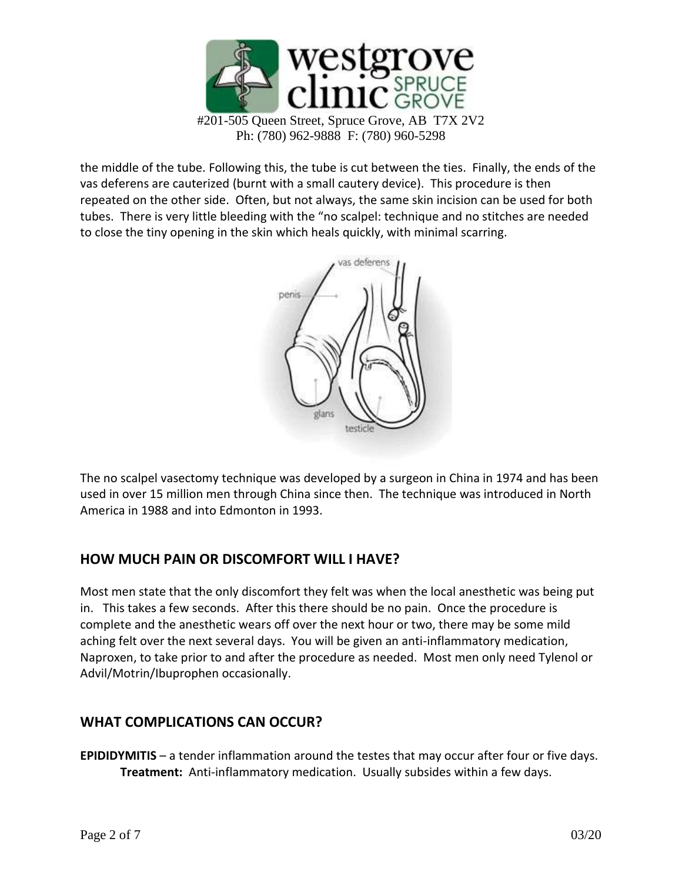

the middle of the tube. Following this, the tube is cut between the ties. Finally, the ends of the vas deferens are cauterized (burnt with a small cautery device). This procedure is then repeated on the other side. Often, but not always, the same skin incision can be used for both tubes. There is very little bleeding with the "no scalpel: technique and no stitches are needed to close the tiny opening in the skin which heals quickly, with minimal scarring.



The no scalpel vasectomy technique was developed by a surgeon in China in 1974 and has been used in over 15 million men through China since then. The technique was introduced in North America in 1988 and into Edmonton in 1993.

# **HOW MUCH PAIN OR DISCOMFORT WILL I HAVE?**

Most men state that the only discomfort they felt was when the local anesthetic was being put in. This takes a few seconds. After this there should be no pain. Once the procedure is complete and the anesthetic wears off over the next hour or two, there may be some mild aching felt over the next several days. You will be given an anti-inflammatory medication, Naproxen, to take prior to and after the procedure as needed. Most men only need Tylenol or Advil/Motrin/Ibuprophen occasionally.

# **WHAT COMPLICATIONS CAN OCCUR?**

**EPIDIDYMITIS** – a tender inflammation around the testes that may occur after four or five days. **Treatment:** Anti-inflammatory medication. Usually subsides within a few days.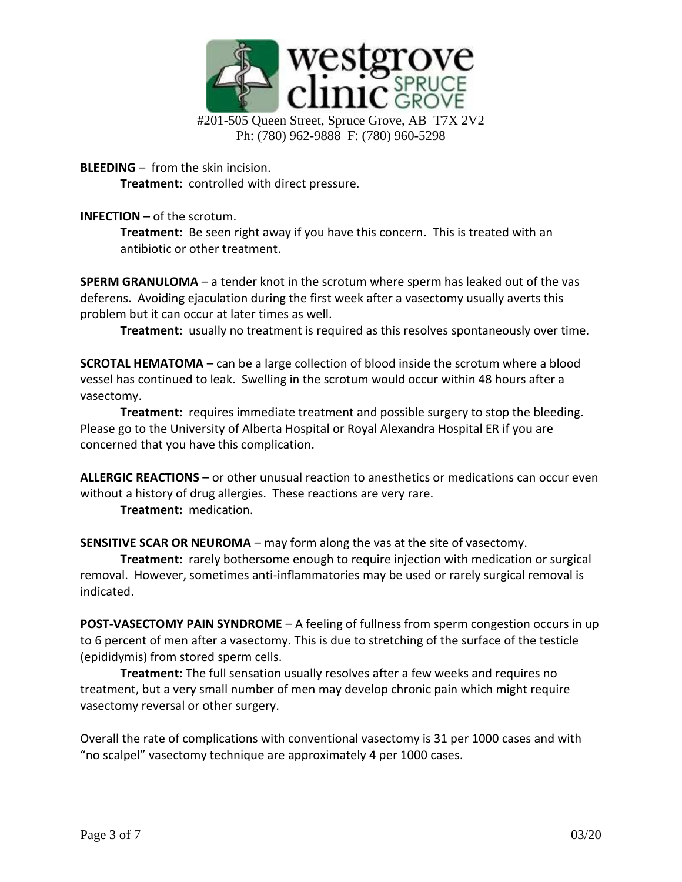

Ph: (780) 962-9888 F: (780) 960-5298

**BLEEDING** – from the skin incision.

**Treatment:** controlled with direct pressure.

**INFECTION** – of the scrotum.

**Treatment:** Be seen right away if you have this concern. This is treated with an antibiotic or other treatment.

**SPERM GRANULOMA** – a tender knot in the scrotum where sperm has leaked out of the vas deferens. Avoiding ejaculation during the first week after a vasectomy usually averts this problem but it can occur at later times as well.

**Treatment:** usually no treatment is required as this resolves spontaneously over time.

**SCROTAL HEMATOMA** – can be a large collection of blood inside the scrotum where a blood vessel has continued to leak. Swelling in the scrotum would occur within 48 hours after a vasectomy.

**Treatment:** requires immediate treatment and possible surgery to stop the bleeding. Please go to the University of Alberta Hospital or Royal Alexandra Hospital ER if you are concerned that you have this complication.

**ALLERGIC REACTIONS** – or other unusual reaction to anesthetics or medications can occur even without a history of drug allergies. These reactions are very rare.

**Treatment:** medication.

**SENSITIVE SCAR OR NEUROMA** – may form along the vas at the site of vasectomy.

**Treatment:** rarely bothersome enough to require injection with medication or surgical removal. However, sometimes anti-inflammatories may be used or rarely surgical removal is indicated.

**POST-VASECTOMY PAIN SYNDROME** – A feeling of fullness from sperm congestion occurs in up to 6 percent of men after a vasectomy. This is due to stretching of the surface of the testicle (epididymis) from stored sperm cells.

**Treatment:** The full sensation usually resolves after a few weeks and requires no treatment, but a very small number of men may develop chronic pain which might require vasectomy reversal or other surgery.

Overall the rate of complications with conventional vasectomy is 31 per 1000 cases and with "no scalpel" vasectomy technique are approximately 4 per 1000 cases.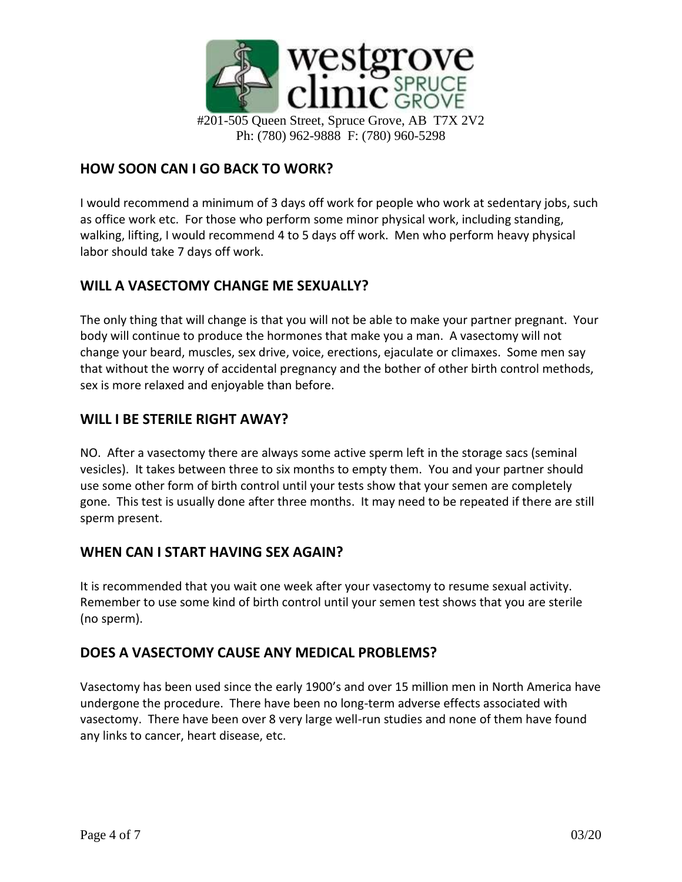

#### **HOW SOON CAN I GO BACK TO WORK?**

I would recommend a minimum of 3 days off work for people who work at sedentary jobs, such as office work etc. For those who perform some minor physical work, including standing, walking, lifting, I would recommend 4 to 5 days off work. Men who perform heavy physical labor should take 7 days off work.

#### **WILL A VASECTOMY CHANGE ME SEXUALLY?**

The only thing that will change is that you will not be able to make your partner pregnant. Your body will continue to produce the hormones that make you a man. A vasectomy will not change your beard, muscles, sex drive, voice, erections, ejaculate or climaxes. Some men say that without the worry of accidental pregnancy and the bother of other birth control methods, sex is more relaxed and enjoyable than before.

#### **WILL I BE STERILE RIGHT AWAY?**

NO. After a vasectomy there are always some active sperm left in the storage sacs (seminal vesicles). It takes between three to six months to empty them. You and your partner should use some other form of birth control until your tests show that your semen are completely gone. This test is usually done after three months. It may need to be repeated if there are still sperm present.

#### **WHEN CAN I START HAVING SEX AGAIN?**

It is recommended that you wait one week after your vasectomy to resume sexual activity. Remember to use some kind of birth control until your semen test shows that you are sterile (no sperm).

#### **DOES A VASECTOMY CAUSE ANY MEDICAL PROBLEMS?**

Vasectomy has been used since the early 1900's and over 15 million men in North America have undergone the procedure. There have been no long-term adverse effects associated with vasectomy. There have been over 8 very large well-run studies and none of them have found any links to cancer, heart disease, etc.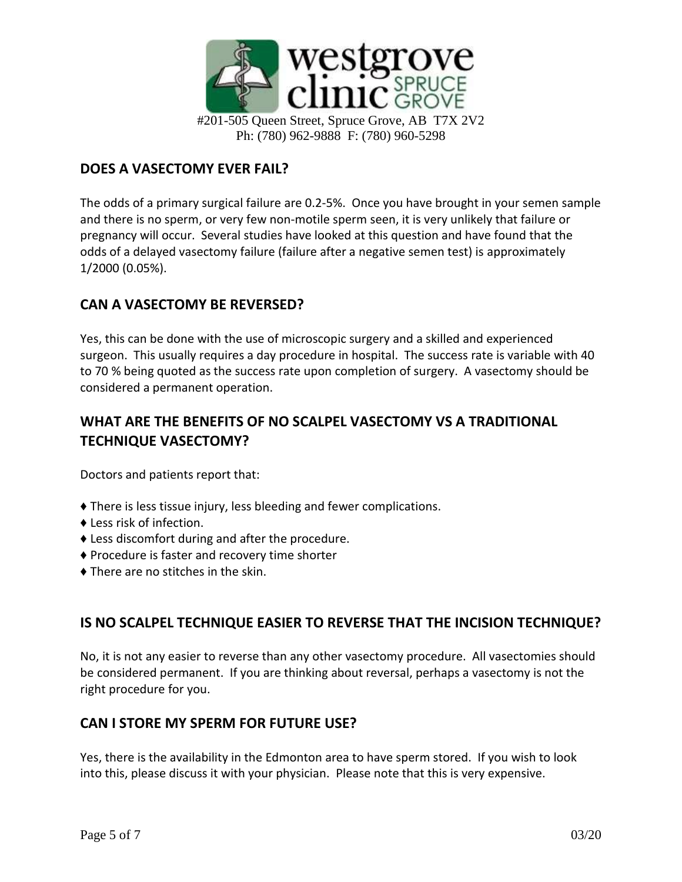

#### **DOES A VASECTOMY EVER FAIL?**

The odds of a primary surgical failure are 0.2-5%. Once you have brought in your semen sample and there is no sperm, or very few non-motile sperm seen, it is very unlikely that failure or pregnancy will occur. Several studies have looked at this question and have found that the odds of a delayed vasectomy failure (failure after a negative semen test) is approximately 1/2000 (0.05%).

#### **CAN A VASECTOMY BE REVERSED?**

Yes, this can be done with the use of microscopic surgery and a skilled and experienced surgeon. This usually requires a day procedure in hospital. The success rate is variable with 40 to 70 % being quoted as the success rate upon completion of surgery. A vasectomy should be considered a permanent operation.

# **WHAT ARE THE BENEFITS OF NO SCALPEL VASECTOMY VS A TRADITIONAL TECHNIQUE VASECTOMY?**

Doctors and patients report that:

- ♦ There is less tissue injury, less bleeding and fewer complications.
- ♦ Less risk of infection.
- ♦ Less discomfort during and after the procedure.
- ♦ Procedure is faster and recovery time shorter
- $\triangle$  There are no stitches in the skin.

#### **IS NO SCALPEL TECHNIQUE EASIER TO REVERSE THAT THE INCISION TECHNIQUE?**

No, it is not any easier to reverse than any other vasectomy procedure. All vasectomies should be considered permanent. If you are thinking about reversal, perhaps a vasectomy is not the right procedure for you.

#### **CAN I STORE MY SPERM FOR FUTURE USE?**

Yes, there is the availability in the Edmonton area to have sperm stored. If you wish to look into this, please discuss it with your physician. Please note that this is very expensive.